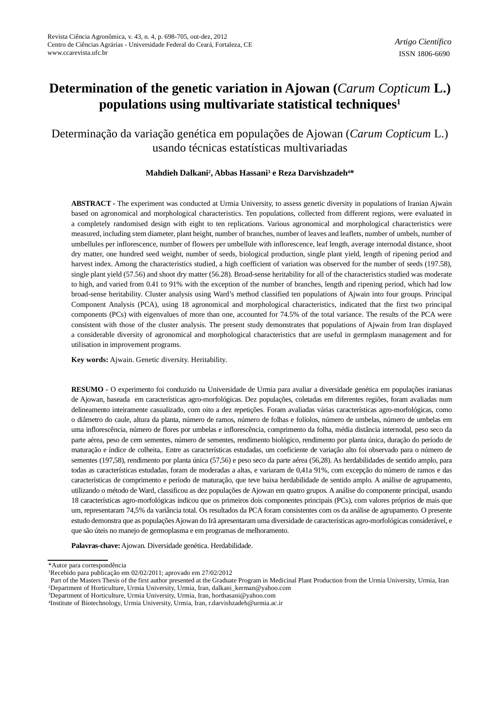# **Determination of the genetic variation in Ajowan (***Carum Copticum* **L.) populations using multivariate statistical techniques<sup>1</sup>**

Determinação da variação genética em populações de Ajowan (*Carum Copticum* L.) usando técnicas estatísticas multivariadas

### **Mahdieh Dalkani<sup>2</sup> , Abbas Hassani<sup>3</sup> e Reza Darvishzadeh4\***

**ABSTRACT -** The experiment was conducted at Urmia University, to assess genetic diversity in populations of Iranian Ajwain based on agronomical and morphological characteristics. Ten populations, collected from different regions, were evaluated in a completely randomised design with eight to ten replications. Various agronomical and morphological characteristics were measured, including stem diameter, plant height, number of branches, number of leaves and leaflets, number of umbels, number of umbellules per inflorescence, number of flowers per umbellule with inflorescence, leaf length, average internodal distance, shoot dry matter, one hundred seed weight, number of seeds, biological production, single plant yield, length of ripening period and harvest index. Among the characteristics studied, a high coefficient of variation was observed for the number of seeds (197.58), single plant yield (57.56) and shoot dry matter (56.28). Broad-sense heritability for all of the characteristics studied was moderate to high, and varied from 0.41 to 91% with the exception of the number of branches, length and ripening period, which had low broad-sense heritability. Cluster analysis using Ward's method classified ten populations of Ajwain into four groups. Principal Component Analysis (PCA), using 18 agronomical and morphological characteristics, indicated that the first two principal components (PCs) with eigenvalues of more than one, accounted for 74.5% of the total variance. The results of the PCA were consistent with those of the cluster analysis. The present study demonstrates that populations of Ajwain from Iran displayed a considerable diversity of agronomical and morphological characteristics that are useful in germplasm management and for utilisation in improvement programs.

**Key words:** Ajwain. Genetic diversity. Heritability.

**RESUMO -** O experimento foi conduzido na Universidade de Urmia para avaliar a diversidade genética em populações iranianas de Ajowan, baseada em características agro-morfológicas. Dez populações, coletadas em diferentes regiões, foram avaliadas num delineamento inteiramente casualizado, com oito a dez repetições. Foram avaliadas várias características agro-morfológicas, como o diâmetro do caule, altura da planta, número de ramos, número de folhas e folíolos, número de umbelas, número de umbelas em uma inflorescência, número de flores por umbelas e inflorescência, comprimento da folha, média distância internodal, peso seco da parte aérea, peso de cem sementes, número de sementes, rendimento biológico, rendimento por planta única, duração do período de maturação e índice de colheita,. Entre as características estudadas, um coeficiente de variação alto foi observado para o número de sementes (197,58), rendimento por planta única (57,56) e peso seco da parte aérea (56,28). As herdabilidades de sentido amplo, para todas as características estudadas, foram de moderadas a altas, e variaram de 0,41a 91%, com excepção do número de ramos e das características de comprimento e período de maturação, que teve baixa herdabilidade de sentido amplo. A análise de agrupamento, utilizando o método de Ward, classificou as dez populações de Ajowan em quatro grupos. A análise do componente principal, usando 18 características agro-morfológicas indicou que os primeiros dois componentes principais (PCs), com valores próprios de mais que um, representaram 74,5% da variância total. Os resultados da PCA foram consistentes com os da análise de agrupamento. O presente estudo demonstra que as populações Ajowan do Irã apresentaram uma diversidade de características agro-morfológicas considerável, e que são úteis no manejo de germoplasma e em programas de melhoramento.

**Palavras-chave:** Ajowan. Diversidade genética. Herdabilidade.

<sup>\*</sup>Autor para correspondência

<sup>1</sup>Recebido para publicação em 02/02/2011; aprovado em 27/02/2012

Part of the Masters Thesis of the first author presented at the Graduate Program in Medicinal Plant Production from the Urmia University, Urmia, Iran <sup>2</sup>Department of Horticulture, Urmia University, Urmia, Iran, [dalkani\\_kerman@yahoo.com](mailto:dalkani_kerman@yahoo.com)

<sup>3</sup>Department of Horticulture, Urmia University, Urmia, Iran, [horthasani@yahoo.com](mailto:horthasani@yahoo.com)

<sup>4</sup> Institute of Biotechnology, Urmia University, Urmia, Iran, [r.darvishzadeh@urmia.ac.ir](mailto:r.darvishzadeh@urmia.ac.ir)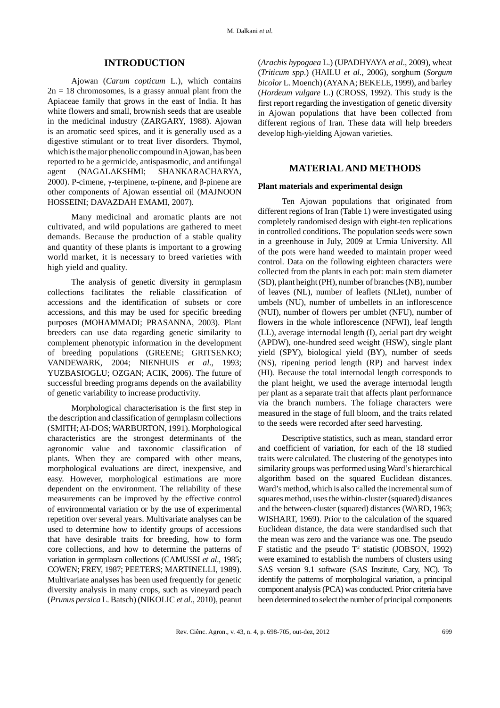## **INTRODUCTION**

Ajowan (*Carum copticum* L.), which contains  $2n = 18$  chromosomes, is a grassy annual plant from the Apiaceae family that grows in the east of India. It has white flowers and small, brownish seeds that are useable in the medicinal industry (ZARGARY, 1988). Ajowan is an aromatic seed spices, and it is generally used as a digestive stimulant or to treat liver disorders. Thymol, which is the major phenolic compound in Ajowan, has been reported to be a germicide, antispasmodic, and antifungal agent (NAGALAKSHMI; SHANKARACHARYA, 2000). P-cimene,  $\gamma$ -terpinene,  $\alpha$ -pinene, and  $\beta$ -pinene are other components of Ajowan essential oil (MAJNOON HOSSEINI; DAVAZDAH EMAMI, 2007).

Many medicinal and aromatic plants are not cultivated, and wild populations are gathered to meet demands. Because the production of a stable quality and quantity of these plants is important to a growing world market, it is necessary to breed varieties with high yield and quality.

The analysis of genetic diversity in germplasm collections facilitates the reliable classification of accessions and the identification of subsets or core accessions, and this may be used for specific breeding purposes (MOHAMMADI; PRASANNA, 2003). Plant breeders can use data regarding genetic similarity to complement phenotypic information in the development of breeding populations (GREENE; GRITSENKO; VANDEWARK, 2004; NIENHUIS *et al*., 1993; YUZBASIOGLU; OZGAN; ACIK, 2006). The future of successful breeding programs depends on the availability of genetic variability to increase productivity.

Morphological characterisation is the first step in the description and classification of germplasm collections (SMITH; AI-DOS; WARBURTON, 1991). Morphological characteristics are the strongest determinants of the agronomic value and taxonomic classification of plants. When they are compared with other means, morphological evaluations are direct, inexpensive, and easy. However, morphological estimations are more dependent on the environment. The reliability of these measurements can be improved by the effective control of environmental variation or by the use of experimental repetition over several years. Multivariate analyses can be used to determine how to identify groups of accessions that have desirable traits for breeding, how to form core collections, and how to determine the patterns of variation in germplasm collections (CAMUSSI *et al*., 1985; COWEN; FREY, 1987; PEETERS; MARTINELLI, 1989). Multivariate analyses has been used frequently for genetic diversity analysis in many crops, such as vineyard peach (*Prunus persica* L. Batsch) (NIKOLIC *et al*., 2010), peanut (*Arachis hypogaea* L.) (UPADHYAYA *et al*., 2009), wheat (*Triticum spp*.) (HAILU *et al*., 2006), sorghum (*Sorgum bicolor* L. Moench) (AYANA; BEKELE, 1999), and barley (*Hordeum vulgare* L.) (CROSS, 1992). This study is the first report regarding the investigation of genetic diversity in Ajowan populations that have been collected from different regions of Iran. These data will help breeders develop high-yielding Ajowan varieties.

## **MATERIAL AND METHODS**

#### **Plant materials and experimental design**

Ten Ajowan populations that originated from different regions of Iran (Table 1) were investigated using completely randomised design with eight-ten replications in controlled conditions**.** The population seeds were sown in a greenhouse in July, 2009 at Urmia University. All of the pots were hand weeded to maintain proper weed control. Data on the following eighteen characters were collected from the plants in each pot: main stem diameter (SD), plant height (PH), number of branches (NB), number of leaves (NL), number of leaflets (NLlet), number of umbels (NU), number of umbellets in an inflorescence (NUI), number of flowers per umblet (NFU), number of flowers in the whole inflorescence (NFWI), leaf length (LL), average internodal length (I), aerial part dry weight (APDW), one-hundred seed weight (HSW), single plant yield (SPY), biological yield (BY), number of seeds (NS), ripening period length (RP) and harvest index (HI). Because the total internodal length corresponds to the plant height, we used the average internodal length per plant as a separate trait that affects plant performance via the branch numbers. The foliage characters were measured in the stage of full bloom, and the traits related to the seeds were recorded after seed harvesting.

Descriptive statistics, such as mean, standard error and coefficient of variation, for each of the 18 studied traits were calculated. The clustering of the genotypes into similarity groups was performed using Ward's hierarchical algorithm based on the squared Euclidean distances. Ward's method, which is also called the incremental sum of squares method, uses the within-cluster (squared) distances and the between-cluster (squared) distances (WARD, 1963; WISHART, 1969). Prior to the calculation of the squared Euclidean distance, the data were standardised such that the mean was zero and the variance was one. The pseudo F statistic and the pseudo  $T^2$  statistic (JOBSON, 1992) were examined to establish the numbers of clusters using SAS version 9.1 software (SAS Institute, Cary, NC). To identify the patterns of morphological variation, a principal component analysis (PCA) was conducted. Prior criteria have been determined to select the number of principal components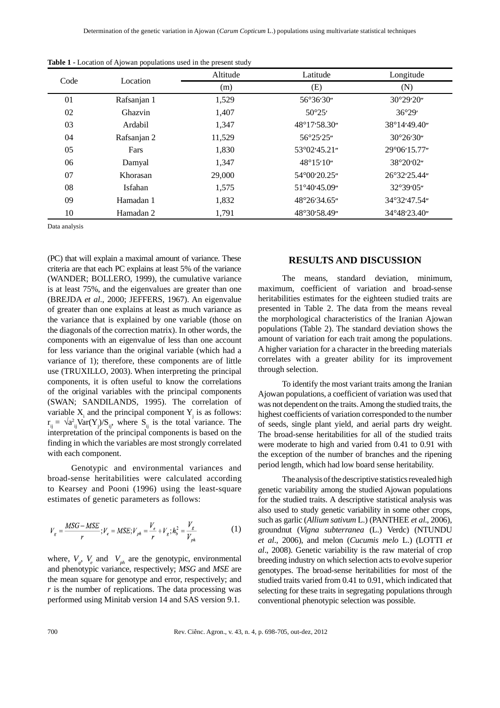| Code |             | Altitude | Latitude            | Longitude           |  |
|------|-------------|----------|---------------------|---------------------|--|
|      | Location    | (m)      | (E)                 | (N)                 |  |
| 01   | Rafsanjan 1 | 1,529    | 56°36'30"           | 30°29'20"           |  |
| 02   | Ghazvin     | 1,407    | 50°25'              | 36°29'              |  |
| 03   | Ardabil     | 1,347    | 48°17'58.30"        | 38°14'49.40"        |  |
| 04   | Rafsanjan 2 | 11,529   | 56°25'25"           | 30°26'30"           |  |
| 05   | Fars        | 1,830    | 53°02'45.21"        | 29°06'15.77"        |  |
| 06   | Damyal      | 1,347    | $48^{\circ}15'10''$ | 38°20'02"           |  |
| 07   | Khorasan    | 29,000   | 54°00'20.25"        | 26°32'25.44"        |  |
| 08   | Isfahan     | 1,575    | 51°40'45.09"        | $32^{\circ}39'05''$ |  |
| 09   | Hamadan 1   | 1,832    | 48°26'34.65"        | 34°32'47.54"        |  |
| 10   | Hamadan 2   | 1,791    | 48°30'58.49"        | 34°48'23.40"        |  |

**Table 1 -** Location of Ajowan populations used in the present study

Data analysis

(PC) that will explain a maximal amount of variance. These criteria are that each PC explains at least 5% of the variance (WANDER; BOLLERO, 1999), the cumulative variance is at least 75%, and the eigenvalues are greater than one (BREJDA *et al*., 2000; JEFFERS, 1967). An eigenvalue of greater than one explains at least as much variance as the variance that is explained by one variable (those on the diagonals of the correction matrix). In other words, the components with an eigenvalue of less than one account for less variance than the original variable (which had a variance of 1); therefore, these components are of little use (TRUXILLO, 2003). When interpreting the principal components, it is often useful to know the correlations of the original variables with the principal components (SWAN; SANDILANDS, 1995). The correlation of variable  $X_i$  and the principal component  $Y_j$  is as follows:  $r_{ij} = \sqrt{a_{ij}^2 Var(Y_j)/S_{ij}}$ , where  $S_{ij}$  is the total variance. The interpretation of the principal components is based on the finding in which the variables are most strongly correlated with each component.

Genotypic and environmental variances and broad-sense heritabilities were calculated according to Kearsey and Pooni (1996) using the least-square estimates of genetic parameters as follows:

$$
V_{g} = \frac{MSG - MSE}{r}; V_{e} = MSE; V_{ph} = \frac{V_{e}}{r} + V_{g}; h_{b}^{2} = \frac{V_{g}}{V_{ph}}
$$
(1)

where,  $V_g$ ,  $V_e$  and  $V_{ph}$  are the genotypic, environmental and phenotypic variance, respectively; *MSG* and *MSE* are the mean square for genotype and error, respectively; and *r* is the number of replications. The data processing was performed using Minitab version 14 and SAS version 9.1.

## **RESULTS AND DISCUSSION**

The means, standard deviation, minimum, maximum, coefficient of variation and broad-sense heritabilities estimates for the eighteen studied traits are presented in Table 2. The data from the means reveal the morphological characteristics of the Iranian Ajowan populations (Table 2). The standard deviation shows the amount of variation for each trait among the populations. A higher variation for a character in the breeding materials correlates with a greater ability for its improvement through selection.

To identify the most variant traits among the Iranian Ajowan populations, a coefficient of variation was used that was not dependent on the traits. Among the studied traits, the highest coefficients of variation corresponded to the number of seeds, single plant yield, and aerial parts dry weight. The broad-sense heritabilities for all of the studied traits were moderate to high and varied from 0.41 to 0.91 with the exception of the number of branches and the ripening period length, which had low board sense heritability.

The analysis of the descriptive statistics revealed high genetic variability among the studied Ajowan populations for the studied traits. A descriptive statistical analysis was also used to study genetic variability in some other crops, such as garlic (*Allium sativum* L.) (PANTHEE *et al*., 2006), groundnut (*Vigna subterranea* (L.) Verdc) (NTUNDU *et al*., 2006), and melon (*Cucumis melo* L.) (LOTTI *et al*., 2008). Genetic variability is the raw material of crop breeding industry on which selection acts to evolve superior genotypes. The broad-sense heritabilities for most of the studied traits varied from 0.41 to 0.91, which indicated that selecting for these traits in segregating populations through conventional phenotypic selection was possible.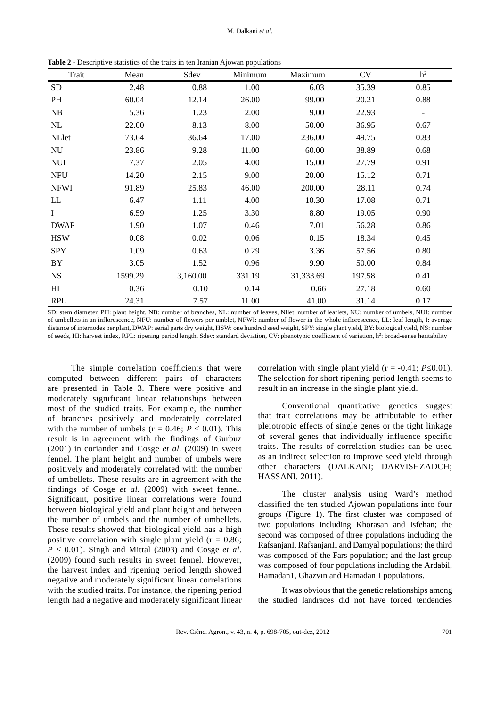| Trait                      | Mean    | Sdev     | Minimum | Maximum   | CV     | h <sup>2</sup>               |
|----------------------------|---------|----------|---------|-----------|--------|------------------------------|
| <b>SD</b>                  | 2.48    | 0.88     | 1.00    | 6.03      | 35.39  | 0.85                         |
| PH                         | 60.04   | 12.14    | 26.00   | 99.00     | 20.21  | 0.88                         |
| NB                         | 5.36    | 1.23     | 2.00    | 9.00      | 22.93  | $\qquad \qquad \blacksquare$ |
| NL                         | 22.00   | 8.13     | 8.00    | 50.00     | 36.95  | 0.67                         |
| <b>NLlet</b>               | 73.64   | 36.64    | 17.00   | 236.00    | 49.75  | 0.83                         |
| NU                         | 23.86   | 9.28     | 11.00   | 60.00     | 38.89  | 0.68                         |
| <b>NUI</b>                 | 7.37    | 2.05     | 4.00    | 15.00     | 27.79  | 0.91                         |
| <b>NFU</b>                 | 14.20   | 2.15     | 9.00    | 20.00     | 15.12  | 0.71                         |
| <b>NFWI</b>                | 91.89   | 25.83    | 46.00   | 200.00    | 28.11  | 0.74                         |
| $\mathop{\rm LL}\nolimits$ | 6.47    | 1.11     | 4.00    | 10.30     | 17.08  | 0.71                         |
| $\bf{I}$                   | 6.59    | 1.25     | 3.30    | 8.80      | 19.05  | 0.90                         |
| <b>DWAP</b>                | 1.90    | 1.07     | 0.46    | 7.01      | 56.28  | 0.86                         |
| <b>HSW</b>                 | 0.08    | 0.02     | 0.06    | 0.15      | 18.34  | 0.45                         |
| <b>SPY</b>                 | 1.09    | 0.63     | 0.29    | 3.36      | 57.56  | 0.80                         |
| BY                         | 3.05    | 1.52     | 0.96    | 9.90      | 50.00  | 0.84                         |
| <b>NS</b>                  | 1599.29 | 3,160.00 | 331.19  | 31,333.69 | 197.58 | 0.41                         |
| HI                         | 0.36    | 0.10     | 0.14    | 0.66      | 27.18  | 0.60                         |
| <b>RPL</b>                 | 24.31   | 7.57     | 11.00   | 41.00     | 31.14  | 0.17                         |

**Table 2 -** Descriptive statistics of the traits in ten Iranian Ajowan populations

SD: stem diameter, PH: plant height, NB: number of branches, NL: number of leaves, Nllet: number of leaflets, NU: number of umbels, NUI: number of umbellets in an inflorescence, NFU: number of flowers per umblet, NFWI: number of flower in the whole inflorescence, LL: leaf length, I: average distance of internodes per plant, DWAP: aerial parts dry weight, HSW: one hundred seed weight, SPY: single plant yield, BY: biological yield, NS: number of seeds, HI: harvest index, RPL: ripening period length, Sdev: standard deviation, CV: phenotypic coefficient of variation, h<sup>2</sup>: broad-sense heritability

The simple correlation coefficients that were computed between different pairs of characters are presented in Table 3. There were positive and moderately significant linear relationships between most of the studied traits. For example, the number of branches positively and moderately correlated with the number of umbels ( $r = 0.46$ ;  $P \le 0.01$ ). This result is in agreement with the findings of Gurbuz (2001) in coriander and Cosge *et al*. (2009) in sweet fennel. The plant height and number of umbels were positively and moderately correlated with the number of umbellets. These results are in agreement with the findings of Cosge *et al*. (2009) with sweet fennel. Significant, positive linear correlations were found between biological yield and plant height and between the number of umbels and the number of umbellets. These results showed that biological yield has a high positive correlation with single plant yield ( $r = 0.86$ ;  $P \leq 0.01$ ). Singh and Mittal (2003) and Cosge *et al.* (2009) found such results in sweet fennel. However, the harvest index and ripening period length showed negative and moderately significant linear correlations with the studied traits. For instance, the ripening period length had a negative and moderately significant linear correlation with single plant yield  $(r = -0.41; P \le 0.01)$ . The selection for short ripening period length seems to result in an increase in the single plant yield.

Conventional quantitative genetics suggest that trait correlations may be attributable to either pleiotropic effects of single genes or the tight linkage of several genes that individually influence specific traits. The results of correlation studies can be used as an indirect selection to improve seed yield through other characters (DALKANI; DARVISHZADCH; HASSANI, 2011).

The cluster analysis using Ward's method classified the ten studied Ajowan populations into four groups (Figure 1). The first cluster was composed of two populations including Khorasan and Isfehan; the second was composed of three populations including the RafsanjanI, RafsanjanII and Damyal populations; the third was composed of the Fars population; and the last group was composed of four populations including the Ardabil, Hamadan1, Ghazvin and HamadanII populations.

It was obvious that the genetic relationships among the studied landraces did not have forced tendencies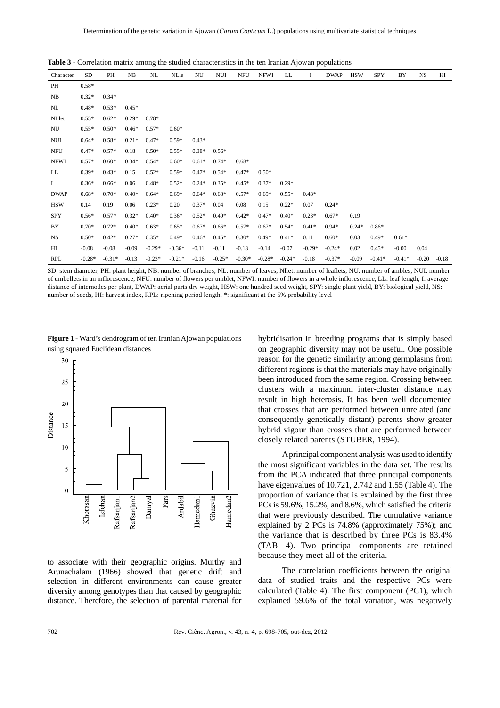| Character   | SD       | PH       | NB      | NL       | NLle     | NU      | NUI      | <b>NFU</b> | <b>NFWI</b> | LL       | 1        | <b>DWAP</b> | <b>HSW</b> | <b>SPY</b> | BY       | <b>NS</b> | HI      |
|-------------|----------|----------|---------|----------|----------|---------|----------|------------|-------------|----------|----------|-------------|------------|------------|----------|-----------|---------|
| PH          | $0.58*$  |          |         |          |          |         |          |            |             |          |          |             |            |            |          |           |         |
| NB          | $0.32*$  | $0.34*$  |         |          |          |         |          |            |             |          |          |             |            |            |          |           |         |
| NL          | $0.48*$  | $0.53*$  | $0.45*$ |          |          |         |          |            |             |          |          |             |            |            |          |           |         |
| NLlet       | $0.55*$  | $0.62*$  | $0.29*$ | $0.78*$  |          |         |          |            |             |          |          |             |            |            |          |           |         |
| NU          | $0.55*$  | $0.50*$  | $0.46*$ | $0.57*$  | $0.60*$  |         |          |            |             |          |          |             |            |            |          |           |         |
| <b>NUI</b>  | $0.64*$  | $0.58*$  | $0.21*$ | $0.47*$  | $0.59*$  | $0.43*$ |          |            |             |          |          |             |            |            |          |           |         |
| <b>NFU</b>  | $0.47*$  | $0.57*$  | 0.18    | $0.50*$  | $0.55*$  | $0.38*$ | $0.56*$  |            |             |          |          |             |            |            |          |           |         |
| <b>NFWI</b> | $0.57*$  | $0.60*$  | $0.34*$ | $0.54*$  | $0.60*$  | $0.61*$ | $0.74*$  | $0.68*$    |             |          |          |             |            |            |          |           |         |
| LL          | $0.39*$  | $0.43*$  | 0.15    | $0.52*$  | $0.59*$  | $0.47*$ | $0.54*$  | $0.47*$    | $0.50*$     |          |          |             |            |            |          |           |         |
| Ι.          | $0.36*$  | $0.66*$  | 0.06    | $0.48*$  | $0.52*$  | $0.24*$ | $0.35*$  | $0.45*$    | $0.37*$     | $0.29*$  |          |             |            |            |          |           |         |
| <b>DWAP</b> | $0.68*$  | $0.70*$  | $0.40*$ | $0.64*$  | $0.69*$  | $0.64*$ | $0.68*$  | $0.57*$    | $0.69*$     | $0.55*$  | $0.43*$  |             |            |            |          |           |         |
| <b>HSW</b>  | 0.14     | 0.19     | 0.06    | $0.23*$  | 0.20     | $0.37*$ | 0.04     | 0.08       | 0.15        | $0.22*$  | 0.07     | $0.24*$     |            |            |          |           |         |
| <b>SPY</b>  | $0.56*$  | $0.57*$  | $0.32*$ | $0.40*$  | $0.36*$  | $0.52*$ | $0.49*$  | $0.42*$    | $0.47*$     | $0.40*$  | $0.23*$  | $0.67*$     | 0.19       |            |          |           |         |
| BY          | $0.70*$  | $0.72*$  | $0.40*$ | $0.63*$  | $0.65*$  | $0.67*$ | $0.66*$  | $0.57*$    | $0.67*$     | $0.54*$  | $0.41*$  | $0.94*$     | $0.24*$    | $0.86*$    |          |           |         |
| <b>NS</b>   | $0.50*$  | $0.42*$  | $0.27*$ | $0.35*$  | $0.49*$  | $0.46*$ | $0.46*$  | $0.30*$    | $0.49*$     | $0.41*$  | 0.11     | $0.60*$     | 0.03       | $0.49*$    | $0.61*$  |           |         |
| HI          | $-0.08$  | $-0.08$  | $-0.09$ | $-0.29*$ | $-0.36*$ | $-0.11$ | $-0.11$  | $-0.13$    | $-0.14$     | $-0.07$  | $-0.29*$ | $-0.24*$    | 0.02       | $0.45*$    | $-0.00$  | 0.04      |         |
| <b>RPL</b>  | $-0.28*$ | $-0.31*$ | $-0.13$ | $-0.23*$ | $-0.21*$ | $-0.16$ | $-0.25*$ | $-0.30*$   | $-0.28*$    | $-0.24*$ | $-0.18$  | $-0.37*$    | $-0.09$    | $-0.41*$   | $-0.41*$ | $-0.20$   | $-0.18$ |

**Table 3** - Correlation matrix among the studied characteristics in the ten Iranian Ajowan populations

SD: stem diameter, PH: plant height, NB: number of branches, NL: number of leaves, Nllet: number of leaflets, NU: number of ambles, NUI: number of umbellets in an inflorescence, NFU: number of flowers per umblet, NFWI: number of flowers in a whole inflorescence, LL: leaf length, I: average distance of internodes per plant, DWAP: aerial parts dry weight, HSW: one hundred seed weight, SPY: single plant yield, BY: biological yield, NS: number of seeds, HI: harvest index, RPL: ripening period length, \*: significant at the 5% probability level

**Figure 1** - Ward's dendrogram of ten Iranian Ajowan populations using squared Euclidean distances



to associate with their geographic origins. Murthy and Arunachalam (1966) showed that genetic drift and selection in different environments can cause greater diversity among genotypes than that caused by geographic distance. Therefore, the selection of parental material for hybridisation in breeding programs that is simply based on geographic diversity may not be useful. One possible reason for the genetic similarity among germplasms from different regions is that the materials may have originally been introduced from the same region. Crossing between clusters with a maximum inter-cluster distance may result in high heterosis. It has been well documented that crosses that are performed between unrelated (and consequently genetically distant) parents show greater hybrid vigour than crosses that are performed between closely related parents (STUBER, 1994).

A principal component analysis was used to identify the most significant variables in the data set. The results from the PCA indicated that three principal components have eigenvalues of 10.721, 2.742 and 1.55 (Table 4). The proportion of variance that is explained by the first three PCs is 59.6%, 15.2%, and 8.6%, which satisfied the criteria that were previously described. The cumulative variance explained by 2 PCs is 74.8% (approximately 75%); and the variance that is described by three PCs is 83.4% (TAB. 4). Two principal components are retained because they meet all of the criteria.

The correlation coefficients between the original data of studied traits and the respective PCs were calculated (Table 4). The first component (PC1), which explained 59.6% of the total variation, was negatively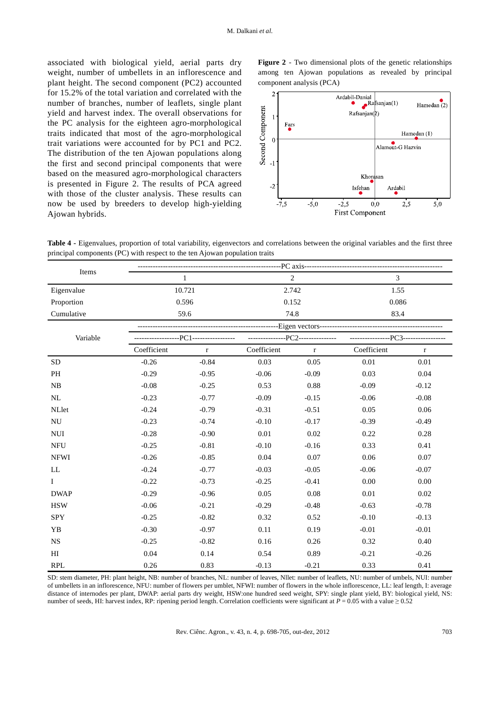associated with biological yield, aerial parts dry weight, number of umbellets in an inflorescence and plant height. The second component (PC2) accounted for 15.2% of the total variation and correlated with the number of branches, number of leaflets, single plant yield and harvest index. The overall observations for the PC analysis for the eighteen agro-morphological traits indicated that most of the agro-morphological trait variations were accounted for by PC1 and PC2. The distribution of the ten Ajowan populations along the first and second principal components that were based on the measured agro-morphological characters is presented in Figure 2. The results of PCA agreed with those of the cluster analysis. These results can now be used by breeders to develop high-yielding Ajowan hybrids.

**Figure 2** - Two dimensional plots of the genetic relationships among ten Ajowan populations as revealed by principal component analysis (PCA)



**Table 4 -** Eigenvalues, proportion of total variability, eigenvectors and correlations between the original variables and the first three principal components (PC) with respect to the ten Ajowan population traits

| Items        |             | $\mathbf{1}$                          |             | $\overline{2}$                   | $\overline{3}$                      |             |  |  |  |  |
|--------------|-------------|---------------------------------------|-------------|----------------------------------|-------------------------------------|-------------|--|--|--|--|
| Eigenvalue   |             | 10.721                                |             | 2.742                            | 1.55                                |             |  |  |  |  |
| Proportion   |             | 0.596                                 |             | 0.152                            | 0.086                               |             |  |  |  |  |
| Cumulative   |             | 59.6                                  |             | 74.8                             |                                     | 83.4        |  |  |  |  |
|              |             |                                       |             |                                  |                                     |             |  |  |  |  |
| Variable     |             | -----------------PC1----------------- |             | ---------------PC2-------------- | ----------------PC3---------------- |             |  |  |  |  |
|              | Coefficient | $\bf r$                               | Coefficient | $\mathbf r$                      | Coefficient                         | $\mathbf r$ |  |  |  |  |
| <b>SD</b>    | $-0.26$     | $-0.84$                               | 0.03        | 0.05                             | 0.01                                | 0.01        |  |  |  |  |
| PH           | $-0.29$     | $-0.95$                               | $-0.06$     | $-0.09$                          | 0.03                                | 0.04        |  |  |  |  |
| NB           | $-0.08$     | $-0.25$                               | 0.53        | 0.88                             | $-0.09$                             | $-0.12$     |  |  |  |  |
| NL           | $-0.23$     | $-0.77$                               | $-0.09$     | $-0.15$                          | $-0.06$                             | $-0.08$     |  |  |  |  |
| NLlet        | $-0.24$     | $-0.79$                               | $-0.31$     | $-0.51$                          | 0.05                                | 0.06        |  |  |  |  |
| NU           | $-0.23$     | $-0.74$                               | $-0.10$     | $-0.17$                          | $-0.39$                             | $-0.49$     |  |  |  |  |
| <b>NUI</b>   | $-0.28$     | $-0.90$                               | 0.01        | 0.02                             | 0.22                                | 0.28        |  |  |  |  |
| <b>NFU</b>   | $-0.25$     | $-0.81$                               | $-0.10$     | $-0.16$                          | 0.33                                | 0.41        |  |  |  |  |
| <b>NFWI</b>  | $-0.26$     | $-0.85$                               | 0.04        | 0.07                             | 0.06                                | 0.07        |  |  |  |  |
| LL           | $-0.24$     | $-0.77$                               | $-0.03$     | $-0.05$                          | $-0.06$                             | $-0.07$     |  |  |  |  |
| $\mathbf{I}$ | $-0.22$     | $-0.73$                               | $-0.25$     | $-0.41$                          | 0.00                                | 0.00        |  |  |  |  |
| <b>DWAP</b>  | $-0.29$     | $-0.96$                               | 0.05        | 0.08                             | 0.01                                | 0.02        |  |  |  |  |
| <b>HSW</b>   | $-0.06$     | $-0.21$                               | $-0.29$     | $-0.48$                          | $-0.63$                             | $-0.78$     |  |  |  |  |
| <b>SPY</b>   | $-0.25$     | $-0.82$                               | 0.32        | 0.52                             | $-0.10$                             | $-0.13$     |  |  |  |  |
| YB           | $-0.30$     | $-0.97$                               | 0.11        | 0.19                             | $-0.01$                             | $-0.01$     |  |  |  |  |
| NS           | $-0.25$     | $-0.82$                               | 0.16        | 0.26                             | 0.32                                | 0.40        |  |  |  |  |
| H            | 0.04        | 0.14                                  | 0.54        | 0.89                             | $-0.21$                             | $-0.26$     |  |  |  |  |
| <b>RPL</b>   | 0.26        | 0.83                                  | $-0.13$     | $-0.21$                          | 0.33                                | 0.41        |  |  |  |  |

SD: stem diameter, PH: plant height, NB: number of branches, NL: number of leaves, Nllet: number of leaflets, NU: number of umbels, NUI: number of umbellets in an inflorescence, NFU: number of flowers per umblet, NFWI: number of flowers in the whole inflorescence, LL: leaf length, I: average distance of internodes per plant, DWAP: aerial parts dry weight, HSW:one hundred seed weight, SPY: single plant yield, BY: biological yield, NS: number of seeds, HI: harvest index, RP: ripening period length. Correlation coefficients were significant at  $P = 0.05$  with a value  $\ge 0.52$ 

Rev. Ciênc. Agron., v. 43, n. 4, p. 698-705, out-dez, 2012 703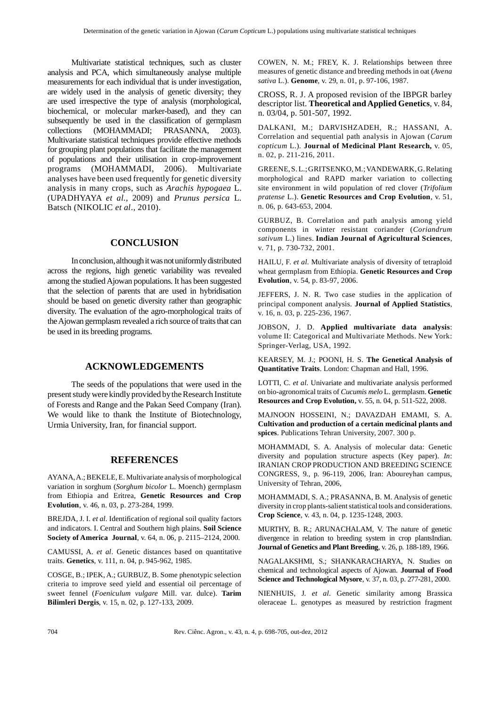Multivariate statistical techniques, such as cluster analysis and PCA, which simultaneously analyse multiple measurements for each individual that is under investigation, are widely used in the analysis of genetic diversity; they are used irrespective the type of analysis (morphological, biochemical, or molecular marker-based), and they can subsequently be used in the classification of germplasm collections (MOHAMMADI; PRASANNA, 2003). Multivariate statistical techniques provide effective methods for grouping plant populations that facilitate the management of populations and their utilisation in crop-improvement programs (MOHAMMADI, 2006). Multivariate analyses have been used frequently for genetic diversity analysis in many crops, such as *Arachis hypogaea* L. (UPADHYAYA *et al*., 2009) and *Prunus persica* L. Batsch (NIKOLIC *et al*., 2010).

# **CONCLUSION**

In conclusion, although it was not uniformly distributed across the regions, high genetic variability was revealed among the studied Ajowan populations. It has been suggested that the selection of parents that are used in hybridisation should be based on genetic diversity rather than geographic diversity. The evaluation of the agro-morphological traits of the Ajowan germplasm revealed a rich source of traits that can be used in its breeding programs.

# **ACKNOWLEDGEMENTS**

The seeds of the populations that were used in the present study were kindly provided by the Research Institute of Forests and Range and the Pakan Seed Company (Iran). We would like to thank the Institute of Biotechnology, Urmia University, Iran, for financial support.

## **REFERENCES**

AYANA, A.; BEKELE, E. Multivariate analysis of morphological variation in sorghum (*Sorghum bicolor* L. Moench) germplasm from Ethiopia and Eritrea, **Genetic Resources and Crop Evolution**, v. 46, n. 03, p. 273-284, 1999.

BREJDA, J. I. et al. Identification of regional soil quality factors and indicators. I. Central and Southern high plains. **Soil Science Society of America Journal**, v. 64, n. 06, p. 2115–2124, 2000.

CAMUSSI, A. *et al*. Genetic distances based on quantitative traits. **Genetics**, v. 111, n. 04, p. 945-962, 1985.

COSGE, B.; IPEK, A.; GURBUZ, B. Some phenotypic selection criteria to improve seed yield and essential oil percentage of sweet fennel (*Foeniculum vulgare* Mill. var. dulce). **Tarim Bilimleri Dergis**, v. 15, n. 02, p. 127-133, 2009.

COWEN, N. M.; FREY, K. J. Relationships between three measures of genetic distance and breeding methods in oat (*Avena sativa* L.). **Genome**, v. 29, n. 01, p. 97-106, 1987.

CROSS, R. J. A proposed revision of the IBPGR barley descriptor list. **Theoretical and Applied Genetics**, v. 84, n. 03/04, p. 501-507, 1992.

DALKANI, M.; DARVISHZADEH, R.; HASSANI, A. Correlation and sequential path analysis in Ajowan (*Carum copticum* L.). **Journal of Medicinal Plant Research,** v. 05, n. 02, p. 211-216, 2011.

GREENE, S. L.; GRITSENKO, M.; VANDEWARK, G. Relating morphological and RAPD marker variation to collecting site environment in wild population of red clover (*Trifolium pratense* L.). **Genetic Resources and Crop Evolution**, v. 51, n. 06, p. 643-653, 2004.

GURBUZ, B. Correlation and path analysis among yield components in winter resistant coriander (*Coriandrum sativum* L.) lines. **Indian Journal of Agricultural Sciences**, v. 71, p. 730-732, 2001.

HAILU, F. *et al*. Multivariate analysis of diversity of tetraploid wheat germplasm from Ethiopia. **Genetic Resources and Crop Evolution**, v. 54, p. 83-97, 2006.

JEFFERS, J. N. R. Two case studies in the application of principal component analysis. **Journal of Applied Statistics**, v. 16, n. 03, p. 225-236, 1967.

JOBSON, J. D. **Applied multivariate data analysis**: volume II: Categorical and Multivariate Methods. New York: Springer-Verlag, USA, 1992.

KEARSEY, M. J.; POONI, H. S. **The Genetical Analysis of Quantitative Traits**. London: Chapman and Hall, 1996.

LOTTI, C. *et al*. Univariate and multivariate analysis performed on bio-agronomical traits of *Cucumis melo* L. germplasm.**Genetic Resources and Crop Evolution,** v. 55, n. 04, p. 511-522, 2008.

MAJNOON HOSSEINI, N.; DAVAZDAH EMAMI, S. A. **Cultivation and production of a certain medicinal plants and spices**. Publications Tehran University, 2007. 300 p.

MOHAMMADI, S. A. Analysis of molecular data: Genetic diversity and population structure aspects (Key paper). *In*: IRANIAN CROP PRODUCTION AND BREEDING SCIENCE CONGRESS, 9., p. 96-119, 2006, Iran: Aboureyhan campus, University of Tehran, 2006,

MOHAMMADI, S. A.; PRASANNA, B. M. Analysis of genetic diversity in crop plants-salient statistical tools and considerations. **Crop Science**, v. 43, n. 04, p. 1235-1248, 2003.

MURTHY, B. R.; ARUNACHALAM, V. The nature of genetic divergence in relation to breeding system in crop plantsIndian. **Journal of Genetics and Plant Breeding**, v. 26, p. 188-189, 1966.

NAGALAKSHMI, S.; SHANKARACHARYA, N. Studies on chemical and technological aspects of Ajowan. **Journal of Food Science and Technological Mysore**, v. 37, n. 03, p. 277-281, 2000.

NIENHUIS, J. *et al*. Genetic similarity among Brassica oleraceae L. genotypes as measured by restriction fragment